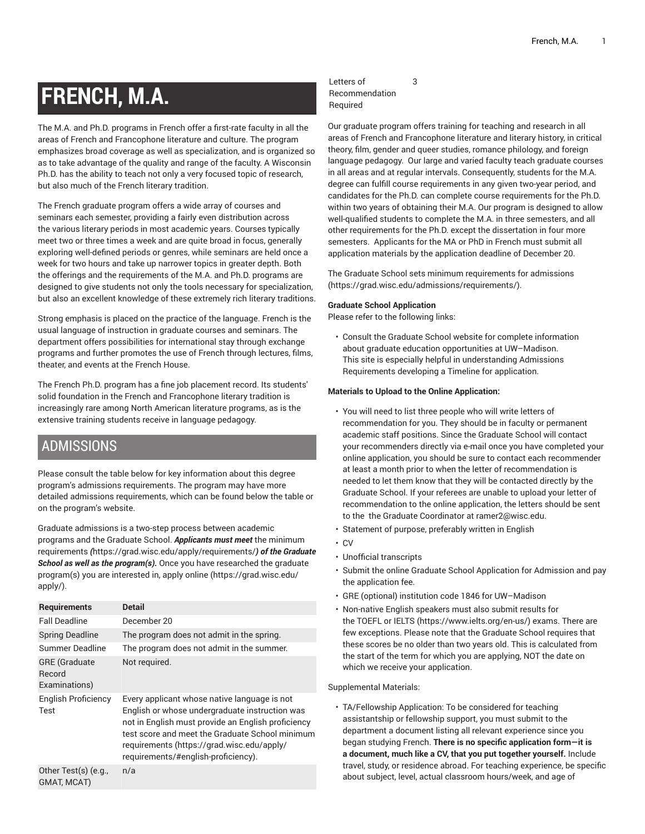# **FRENCH, M.A.**

The M.A. and Ph.D. programs in French offer a first-rate faculty in all the areas of French and Francophone literature and culture. The program emphasizes broad coverage as well as specialization, and is organized so as to take advantage of the quality and range of the faculty. A Wisconsin Ph.D. has the ability to teach not only a very focused topic of research, but also much of the French literary tradition.

The French graduate program offers a wide array of courses and seminars each semester, providing a fairly even distribution across the various literary periods in most academic years. Courses typically meet two or three times a week and are quite broad in focus, generally exploring well-defined periods or genres, while seminars are held once a week for two hours and take up narrower topics in greater depth. Both the offerings and the requirements of the M.A. and Ph.D. programs are designed to give students not only the tools necessary for specialization, but also an excellent knowledge of these extremely rich literary traditions.

Strong emphasis is placed on the practice of the language. French is the usual language of instruction in graduate courses and seminars. The department offers possibilities for international stay through exchange programs and further promotes the use of French through lectures, films, theater, and events at the French House.

The French Ph.D. program has a fine job placement record. Its students' solid foundation in the French and Francophone literary tradition is increasingly rare among North American literature programs, as is the extensive training students receive in language pedagogy.

### ADMISSIONS

Please consult the table below for key information about this degree program's admissions requirements. The program may have more detailed admissions requirements, which can be found below the table or on the program's website.

Graduate admissions is a two-step process between academic programs and the Graduate School. *Applicants must meet* [the minimum](https://grad.wisc.edu/apply/requirements/) [requirements](https://grad.wisc.edu/apply/requirements/) *(*<https://grad.wisc.edu/apply/requirements/>*) of the Graduate School as well as the program(s).* Once you have researched the graduate program(s) you are interested in, [apply online \(https://grad.wisc.edu/](https://grad.wisc.edu/apply/) [apply/\)](https://grad.wisc.edu/apply/).

| <b>Requirements</b>                             | Detail                                                                                                                                                                                                                                                                                       |
|-------------------------------------------------|----------------------------------------------------------------------------------------------------------------------------------------------------------------------------------------------------------------------------------------------------------------------------------------------|
| <b>Fall Deadline</b>                            | December 20                                                                                                                                                                                                                                                                                  |
| <b>Spring Deadline</b>                          | The program does not admit in the spring.                                                                                                                                                                                                                                                    |
| Summer Deadline                                 | The program does not admit in the summer.                                                                                                                                                                                                                                                    |
| <b>GRE</b> (Graduate<br>Record<br>Examinations) | Not required.                                                                                                                                                                                                                                                                                |
| English Proficiency<br>Test                     | Every applicant whose native language is not<br>English or whose undergraduate instruction was<br>not in English must provide an English proficiency<br>test score and meet the Graduate School minimum<br>requirements (https://grad.wisc.edu/apply/<br>requirements/#english-proficiency). |
| Other Test(s) (e.g.,<br>GMAT, MCAT)             | n/a                                                                                                                                                                                                                                                                                          |
|                                                 |                                                                                                                                                                                                                                                                                              |

#### Letters of Recommendation Required

3

Our graduate program offers training for teaching and research in all areas of French and Francophone literature and literary history, in critical theory, film, gender and queer studies, romance philology, and foreign language pedagogy. Our large and varied faculty teach graduate courses in all areas and at regular intervals. Consequently, students for the M.A. degree can fulfill course requirements in any given two-year period, and candidates for the Ph.D. can complete course requirements for the Ph.D. within two years of obtaining their M.A. Our program is designed to allow well-qualified students to complete the M.A. in three semesters, and all other requirements for the Ph.D. except the dissertation in four more semesters. Applicants for the MA or PhD in French must submit all application materials by the application deadline of December 20.

The Graduate School sets minimum [requirements](https://grad.wisc.edu/admissions/requirements/) for admissions [\(https://grad.wisc.edu/admissions/requirements/\)](https://grad.wisc.edu/admissions/requirements/).

#### **Graduate School Application**

Please refer to the following links:

• Consult the Graduate School website for complete information about graduate education opportunities at UW–Madison. This site is especially helpful in understanding Admissions Requirements developing a Timeline for application.

#### **Materials to Upload to the Online Application:**

- You will need to list three people who will write letters of recommendation for you. They should be in faculty or permanent academic staff positions. Since the Graduate School will contact your recommenders directly via e-mail once you have completed your online application, you should be sure to contact each recommender at least a month prior to when the letter of recommendation is needed to let them know that they will be contacted directly by the Graduate School. If your referees are unable to upload your letter of recommendation to the online application, the letters should be sent to the the Graduate Coordinator at ramer2@wisc.edu.
- Statement of purpose, preferably written in English
- CV
- Unofficial transcripts
- Submit the online Graduate School Application for Admission and pay the application fee.
- GRE (optional) institution code 1846 for UW–Madison
- Non-native English speakers must also submit results for the TOEFL or [IELTS](https://www.ielts.org/en-us/) (<https://www.ielts.org/en-us/>) exams. There are few exceptions. Please note that the Graduate School requires that these scores be no older than two years old. This is calculated from the start of the term for which you are applying, NOT the date on which we receive your application.

Supplemental Materials:

• TA/Fellowship Application: To be considered for teaching assistantship or fellowship support, you must submit to the department a document listing all relevant experience since you began studying French. **There is no specific application form—it is a document, much like a CV, that you put together yourself.** Include travel, study, or residence abroad. For teaching experience, be specific about subject, level, actual classroom hours/week, and age of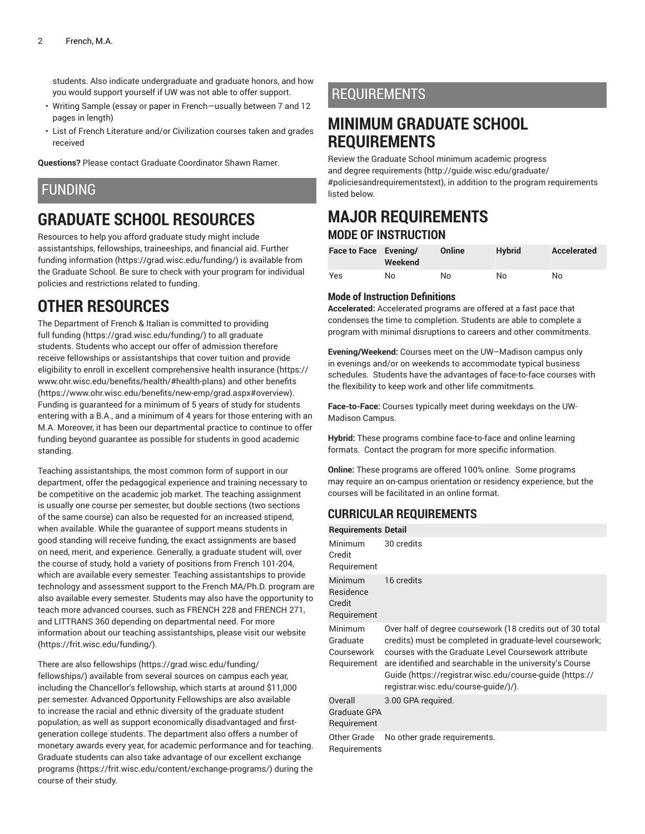students. Also indicate undergraduate and graduate honors, and how you would support yourself if UW was not able to offer support.

- Writing Sample (essay or paper in French—usually between 7 and 12 pages in length)
- List of French Literature and/or Civilization courses taken and grades received

**Questions?** Please contact Graduate Coordinator Shawn Ramer.

### FUNDING

# **GRADUATE SCHOOL RESOURCES**

Resources to help you afford graduate study might include assistantships, fellowships, traineeships, and financial aid. [Further](https://grad.wisc.edu/funding/) [funding information](https://grad.wisc.edu/funding/) ([https://grad.wisc.edu/funding/\)](https://grad.wisc.edu/funding/) is available from the Graduate School. Be sure to check with your program for individual policies and restrictions related to funding.

# **OTHER RESOURCES**

The Department of French & Italian is committed to providing full [funding \(https://grad.wisc.edu/funding/](https://grad.wisc.edu/funding/)) to all graduate students. Students who accept our offer of admission therefore receive fellowships or assistantships that cover tuition and provide eligibility to enroll in excellent comprehensive [health insurance \(https://](https://www.ohr.wisc.edu/benefits/health/#health-plans) [www.ohr.wisc.edu/benefits/health/#health-plans\)](https://www.ohr.wisc.edu/benefits/health/#health-plans) and [other benefits](https://www.ohr.wisc.edu/benefits/new-emp/grad.aspx#overview) ([https://www.ohr.wisc.edu/benefits/new-emp/grad.aspx#overview\)](https://www.ohr.wisc.edu/benefits/new-emp/grad.aspx#overview). Funding is guaranteed for a minimum of 5 years of study for students entering with a B.A., and a minimum of 4 years for those entering with an M.A. Moreover, it has been our departmental practice to continue to offer funding beyond guarantee as possible for students in good academic standing.

Teaching assistantships, the most common form of support in our department, offer the pedagogical experience and training necessary to be competitive on the academic job market. The teaching assignment is usually one course per semester, but double sections (two sections of the same course) can also be requested for an increased stipend, when available. While the guarantee of support means students in good standing will receive funding, the exact assignments are based on need, merit, and experience. Generally, a graduate student will, over the course of study, hold a variety of positions from French 101-204, which are available every semester. Teaching assistantships to provide technology and assessment support to the French MA/Ph.D. program are also available every semester. Students may also have the opportunity to teach more advanced courses, such as FRENCH 228 and FRENCH 271, and LITTRANS 360 depending on departmental need. For more information about our teaching assistantships, please visit our [website](https://frit.wisc.edu/funding/) ([https://frit.wisc.edu/funding/\)](https://frit.wisc.edu/funding/).

There are also [fellowships \(https://grad.wisc.edu/funding/](https://grad.wisc.edu/funding/fellowships/) [fellowships/](https://grad.wisc.edu/funding/fellowships/)) available from several sources on campus each year, including the Chancellor's fellowship, which starts at around \$11,000 per semester. Advanced Opportunity Fellowships are also available to increase the racial and ethnic diversity of the graduate student population, as well as support economically disadvantaged and firstgeneration college students. The department also offers a number of monetary awards every year, for academic performance and for teaching. Graduate students can also take advantage of our excellent [exchange](https://frit.wisc.edu/content/exchange-programs/) [programs \(https://frit.wisc.edu/content/exchange-programs/\)](https://frit.wisc.edu/content/exchange-programs/) during the course of their study.

### REQUIREMENTS

### **MINIMUM GRADUATE SCHOOL REQUIREMENTS**

Review the Graduate School minimum [academic](http://guide.wisc.edu/graduate/#policiesandrequirementstext) progress and degree [requirements \(http://guide.wisc.edu/graduate/](http://guide.wisc.edu/graduate/#policiesandrequirementstext) [#policiesandrequirementstext\)](http://guide.wisc.edu/graduate/#policiesandrequirementstext), in addition to the program requirements listed below.

### **MAJOR REQUIREMENTS MODE OF INSTRUCTION**

| Face to Face Evening/ | Weekend | Online | <b>Hybrid</b> | Accelerated |
|-----------------------|---------|--------|---------------|-------------|
| Yes                   | No      | No     | No            | No          |

#### **Mode of Instruction Definitions**

**Accelerated:** Accelerated programs are offered at a fast pace that condenses the time to completion. Students are able to complete a program with minimal disruptions to careers and other commitments.

**Evening/Weekend:** Courses meet on the UW–Madison campus only in evenings and/or on weekends to accommodate typical business schedules. Students have the advantages of face-to-face courses with the flexibility to keep work and other life commitments.

**Face-to-Face:** Courses typically meet during weekdays on the UW-Madison Campus.

**Hybrid:** These programs combine face-to-face and online learning formats. Contact the program for more specific information.

**Online:** These programs are offered 100% online. Some programs may require an on-campus orientation or residency experience, but the courses will be facilitated in an online format.

### **CURRICULAR REQUIREMENTS**

| <b>Requirements Detail</b>                       |                                                                                                                                                                                                                                                                                                                                                |
|--------------------------------------------------|------------------------------------------------------------------------------------------------------------------------------------------------------------------------------------------------------------------------------------------------------------------------------------------------------------------------------------------------|
| Minimum<br>Credit<br>Requirement                 | 30 credits                                                                                                                                                                                                                                                                                                                                     |
| Minimum<br>Residence<br>Credit<br>Requirement    | 16 credits                                                                                                                                                                                                                                                                                                                                     |
| Minimum<br>Graduate<br>Coursework<br>Requirement | Over half of degree coursework (18 credits out of 30 total<br>credits) must be completed in graduate-level coursework;<br>courses with the Graduate Level Coursework attribute<br>are identified and searchable in the university's Course<br>Guide (https://registrar.wisc.edu/course-guide (https://<br>registrar.wisc.edu/course-guide/)/). |
| Overall<br>Graduate GPA<br>Requirement           | 3.00 GPA required.                                                                                                                                                                                                                                                                                                                             |
| Other Grade<br>Requirements                      | No other grade requirements.                                                                                                                                                                                                                                                                                                                   |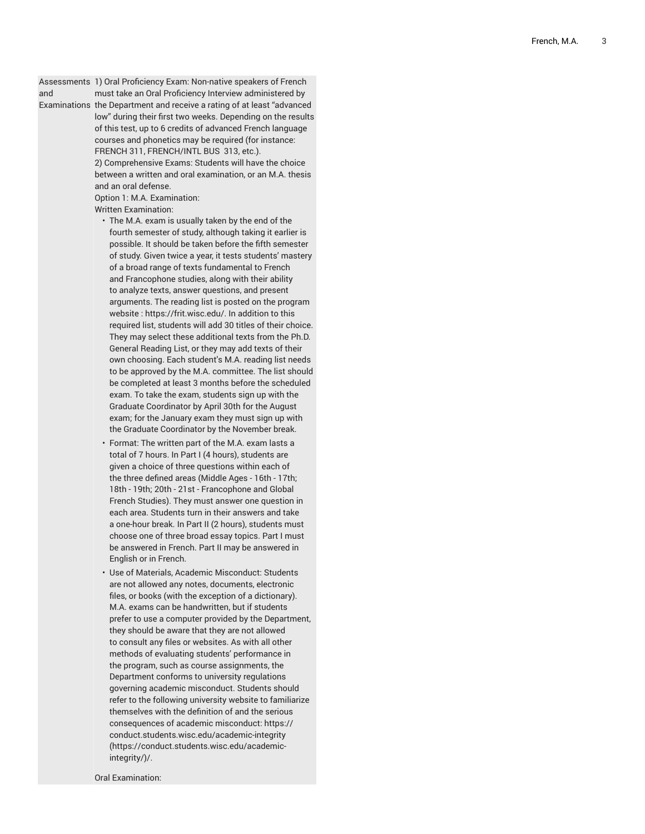Assessments 1) Oral Proficiency Exam: Non-native speakers of French

and Examinations the Department and receive a rating of at least "advanced must take an Oral Proficiency Interview administered by low" during their first two weeks. Depending on the results of this test, up to 6 credits of advanced French language courses and phonetics may be required (for instance: FRENCH 311, FRENCH/INTL BUS 313, etc.). 2) Comprehensive Exams: Students will have the choice between a written and oral examination, or an M.A. thesis and an oral defense.

Option 1: M.A. Examination: Written Examination:

- $\cdot\,$  The M.A. exam is usually taken by the end of the fourth semester of study, although taking it earlier is possible. It should be taken before the fifth semester of study. Given twice a year, it tests students' mastery of a broad range of texts fundamental to French and Francophone studies, along with their ability , to analyze texts, answer questions, and present , , arguments. The reading list is posted on the program website : [https://frit.wisc.edu/](https://frit.wisc.edu). In addition to this required list, students will add 30 titles of their ch oic e. They may select these additional texts from the Ph.D. General Reading List, or they may add texts of their own choosing. Each student's M.A. reading list needs to be approved by the M.A. committee. The list should be completed at least 3 months before the scheduled exam. To take the exam, students sign up with the Graduate Coordinator by April 30th for the August exam; for the January exam they must sign up with the Graduate Coordinator by the November break.
- Format: The written part of the M.A. exam lasts a total of 7 hours. In Part I (4 hours), students are given a choice of three questions within each of the three defined areas (Middle Ages - 16th - 17th; 18th - 19th; 20th - 21st - Francophone and Global French Studies). They must answer one question in each area. Students turn in their answers and take a one-hour break. In Part II (2 hours), students must choose one of three broad essay topics. Part I must be answered in French. Part II may be answered in English or in French.
- Use of Materials, Academic Misconduct: Students are not allowed any notes, documents, electronic files, or books (with the exception of a dictionary). M.A. exams can be handwritten, but if students prefer to use a computer provided by the Depart m e n t , they should be aware that they are not allowed to consult any files or websites. As with all other methods of evaluating students' performance in the program, such as course assignments, the Department conforms to university regulations governing academic misconduct. Students should refer to the following university website to familiariz e themselves with the definition of and the serious consequences of academic misconduct: [https://](https://conduct.students.wisc.edu/academic-integrity/) [conduct.students.wisc.edu/academic-integrity](https://conduct.students.wisc.edu/academic-integrity/) ([https://conduct.students.wisc.edu/academic](https://conduct.students.wisc.edu/academic-integrity/)[integrity/\)](https://conduct.students.wisc.edu/academic-integrity/)/.

Oral Examination: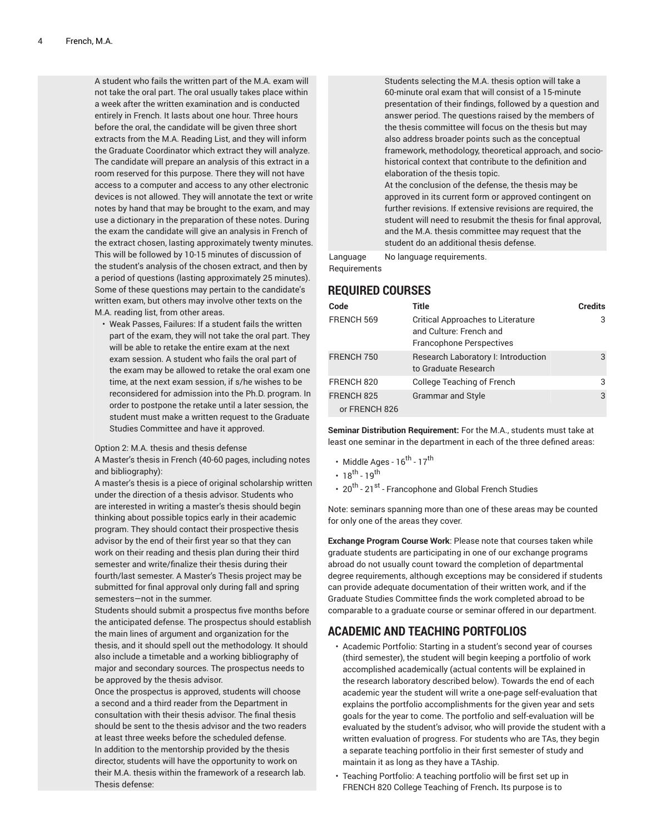A student who fails the written part of the M.A. exam will not take the oral part. The oral usually takes place within a week after the written examination and is conducted entirely in French. It lasts about one hour. Three hours before the oral, the candidate will be given three short extracts from the M.A. Reading List, and they will inform the Graduate Coordinator which extract they will analyze. The candidate will prepare an analysis of this extract in a room reserved for this purpose. There they will not have access to a computer and access to any other electronic devices is not allowed. They will annotate the text or write notes by hand that may be brought to the exam, and may use a dictionary in the preparation of these notes. During the exam the candidate will give an analysis in French of the extract chosen, lasting approximately twenty minutes. This will be followed by 10-15 minutes of discussion of the student's analysis of the chosen extract, and then by a period of questions (lasting approximately 25 minutes). Some of these questions may pertain to the candidate's written exam, but others may involve other texts on the M.A. reading list, from other areas.

• Weak Passes, Failures: If a student fails the written part of the exam, they will not take the oral part. They will be able to retake the entire exam at the next exam session. A student who fails the oral part of the exam may be allowed to retake the oral exam one time, at the next exam session, if s/he wishes to be reconsidered for admission into the Ph.D. program. In order to postpone the retake until a later session, the student must make a written request to the Graduate Studies Committee and have it approved.

#### Option 2: M.A. thesis and thesis defense

A Master's thesis in French (40-60 pages, including notes and bibliography):

A master's thesis is a piece of original scholarship written under the direction of a thesis advisor. Students who are interested in writing a master's thesis should begin thinking about possible topics early in their academic program. They should contact their prospective thesis advisor by the end of their first year so that they can work on their reading and thesis plan during their third semester and write/finalize their thesis during their fourth/last semester. A Master's Thesis project may be submitted for final approval only during fall and spring semesters—not in the summer.

Students should submit a prospectus five months before the anticipated defense. The prospectus should establish the main lines of argument and organization for the thesis, and it should spell out the methodology. It should also include a timetable and a working bibliography of major and secondary sources. The prospectus needs to be approved by the thesis advisor.

Once the prospectus is approved, students will choose a second and a third reader from the Department in consultation with their thesis advisor. The final thesis should be sent to the thesis advisor and the two readers at least three weeks before the scheduled defense. In addition to the mentorship provided by the thesis director, students will have the opportunity to work on their M.A. thesis within the framework of a research lab. Thesis defense:

Students selecting the M.A. thesis option will take a 60-minute oral exam that will consist of a 15-minute presentation of their findings, followed by a question and answer period. The questions raised by the members of the thesis committee will focus on the thesis but may also address broader points such as the conceptual framework, methodology, theoretical approach, and sociohistorical context that contribute to the definition and elaboration of the thesis topic. At the conclusion of the defense, the thesis may be approved in its current form or approved contingent on further revisions. If extensive revisions are required, the student will need to resubmit the thesis for final approval, and the M.A. thesis committee may request that the student do an additional thesis defense.

Language **Requirements** No language requirements.

#### **REQUIRED COURSES**

| Code                        | Title                                                                                                  | <b>Credits</b> |
|-----------------------------|--------------------------------------------------------------------------------------------------------|----------------|
| FRENCH 569                  | <b>Critical Approaches to Literature</b><br>and Culture: French and<br><b>Francophone Perspectives</b> | 3              |
| FRENCH 750                  | Research Laboratory I: Introduction<br>to Graduate Research                                            | 3              |
| FRENCH 820                  | College Teaching of French                                                                             | 3              |
| FRENCH 825<br>or FRENCH 826 | <b>Grammar and Style</b>                                                                               | 3              |

**Seminar Distribution Requirement:** For the M.A., students must take at least one seminar in the department in each of the three defined areas:

- Middle Ages  $16^{\text{th}}$   $17^{\text{th}}$
- $18^{th} 19^{th}$
- 20<sup>th</sup> 21<sup>st</sup> Francophone and Global French Studies

Note: seminars spanning more than one of these areas may be counted for only one of the areas they cover.

**Exchange Program Course Work**: Please note that courses taken while graduate students are participating in one of our exchange programs abroad do not usually count toward the completion of departmental degree requirements, although exceptions may be considered if students can provide adequate documentation of their written work, and if the Graduate Studies Committee finds the work completed abroad to be comparable to a graduate course or seminar offered in our department.

### **ACADEMIC AND TEACHING PORTFOLIOS**

- Academic Portfolio: Starting in a student's second year of courses (third semester), the student will begin keeping a portfolio of work accomplished academically (actual contents will be explained in the research laboratory described below). Towards the end of each academic year the student will write a one-page self-evaluation that explains the portfolio accomplishments for the given year and sets goals for the year to come. The portfolio and self-evaluation will be evaluated by the student's advisor, who will provide the student with a written evaluation of progress. For students who are TAs, they begin a separate teaching portfolio in their first semester of study and maintain it as long as they have a TAship.
- Teaching Portfolio: A teaching portfolio will be first set up in FRENCH 820 College Teaching of French**.** Its purpose is to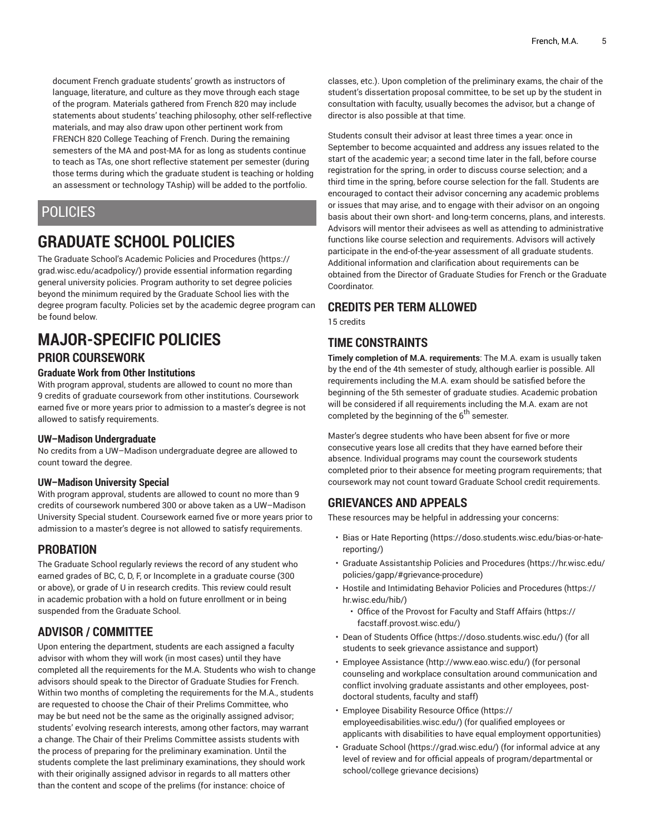document French graduate students' growth as instructors of language, literature, and culture as they move through each stage of the program. Materials gathered from French 820 may include statements about students' teaching philosophy, other self-reflective materials, and may also draw upon other pertinent work from FRENCH 820 College Teaching of French. During the remaining semesters of the MA and post-MA for as long as students continue to teach as TAs, one short reflective statement per semester (during those terms during which the graduate student is teaching or holding an assessment or technology TAship) will be added to the portfolio.

### **POLICIES**

# **GRADUATE SCHOOL POLICIES**

The Graduate School's Academic Policies and [Procedures](https://grad.wisc.edu/acadpolicy/) ([https://](https://grad.wisc.edu/acadpolicy/) [grad.wisc.edu/acadpolicy/\)](https://grad.wisc.edu/acadpolicy/) provide essential information regarding general university policies. Program authority to set degree policies beyond the minimum required by the Graduate School lies with the degree program faculty. Policies set by the academic degree program can be found below.

### **MAJOR-SPECIFIC POLICIES PRIOR COURSEWORK**

#### **Graduate Work from Other Institutions**

With program approval, students are allowed to count no more than 9 credits of graduate coursework from other institutions. Coursework earned five or more years prior to admission to a master's degree is not allowed to satisfy requirements.

#### **UW–Madison Undergraduate**

No credits from a UW–Madison undergraduate degree are allowed to count toward the degree.

#### **UW–Madison University Special**

With program approval, students are allowed to count no more than 9 credits of coursework numbered 300 or above taken as a UW–Madison University Special student. Coursework earned five or more years prior to admission to a master's degree is not allowed to satisfy requirements.

### **PROBATION**

The Graduate School regularly reviews the record of any student who earned grades of BC, C, D, F, or Incomplete in a graduate course (300 or above), or grade of U in research credits. This review could result in academic probation with a hold on future enrollment or in being suspended from the Graduate School.

### **ADVISOR / COMMITTEE**

Upon entering the department, students are each assigned a faculty advisor with whom they will work (in most cases) until they have completed all the requirements for the M.A. Students who wish to change advisors should speak to the Director of Graduate Studies for French. Within two months of completing the requirements for the M.A., students are requested to choose the Chair of their Prelims Committee, who may be but need not be the same as the originally assigned advisor; students' evolving research interests, among other factors, may warrant a change. The Chair of their Prelims Committee assists students with the process of preparing for the preliminary examination. Until the students complete the last preliminary examinations, they should work with their originally assigned advisor in regards to all matters other than the content and scope of the prelims (for instance: choice of

classes, etc.). Upon completion of the preliminary exams, the chair of the student's dissertation proposal committee, to be set up by the student in consultation with faculty, usually becomes the advisor, but a change of director is also possible at that time.

Students consult their advisor at least three times a year: once in September to become acquainted and address any issues related to the start of the academic year; a second time later in the fall, before course registration for the spring, in order to discuss course selection; and a third time in the spring, before course selection for the fall. Students are encouraged to contact their advisor concerning any academic problems or issues that may arise, and to engage with their advisor on an ongoing basis about their own short- and long-term concerns, plans, and interests. Advisors will mentor their advisees as well as attending to administrative functions like course selection and requirements. Advisors will actively participate in the end-of-the-year assessment of all graduate students. Additional information and clarification about requirements can be obtained from the Director of Graduate Studies for French or the Graduate Coordinator.

### **CREDITS PER TERM ALLOWED**

15 credits

### **TIME CONSTRAINTS**

**Timely completion of M.A. requirements**: The M.A. exam is usually taken by the end of the 4th semester of study, although earlier is possible. All requirements including the M.A. exam should be satisfied before the beginning of the 5th semester of graduate studies. Academic probation will be considered if all requirements including the M.A. exam are not completed by the beginning of the 6<sup>th</sup> semester.

Master's degree students who have been absent for five or more consecutive years lose all credits that they have earned before their absence. Individual programs may count the coursework students completed prior to their absence for meeting program requirements; that coursework may not count toward Graduate School credit requirements.

### **GRIEVANCES AND APPEALS**

These resources may be helpful in addressing your concerns:

- Bias or Hate [Reporting \(https://doso.students.wisc.edu/bias-or-hate](https://doso.students.wisc.edu/bias-or-hate-reporting/)[reporting/](https://doso.students.wisc.edu/bias-or-hate-reporting/))
- Graduate [Assistantship](https://hr.wisc.edu/policies/gapp/#grievance-procedure) Policies and Procedures [\(https://hr.wisc.edu/](https://hr.wisc.edu/policies/gapp/#grievance-procedure) [policies/gapp/#grievance-procedure](https://hr.wisc.edu/policies/gapp/#grievance-procedure))
- Hostile and [Intimidating](https://hr.wisc.edu/hib/) Behavior Policies and Procedures [\(https://](https://hr.wisc.edu/hib/) [hr.wisc.edu/hib/\)](https://hr.wisc.edu/hib/)
	- Office of the [Provost](https://facstaff.provost.wisc.edu/) for Faculty and Staff Affairs [\(https://](https://facstaff.provost.wisc.edu/) [facstaff.provost.wisc.edu/](https://facstaff.provost.wisc.edu/))
- [Dean of Students Office \(https://doso.students.wisc.edu/\)](https://doso.students.wisc.edu/) (for all students to seek grievance assistance and support)
- Employee [Assistance](http://www.eao.wisc.edu/) [\(http://www.eao.wisc.edu/\)](http://www.eao.wisc.edu/) (for personal counseling and workplace consultation around communication and conflict involving graduate assistants and other employees, postdoctoral students, faculty and staff)
- [Employee](https://employeedisabilities.wisc.edu/) Disability Resource Office [\(https://](https://employeedisabilities.wisc.edu/) [employeedisabilities.wisc.edu/](https://employeedisabilities.wisc.edu/)) (for qualified employees or applicants with disabilities to have equal employment opportunities)
- [Graduate School](https://grad.wisc.edu/) ([https://grad.wisc.edu/\)](https://grad.wisc.edu/) (for informal advice at any level of review and for official appeals of program/departmental or school/college grievance decisions)